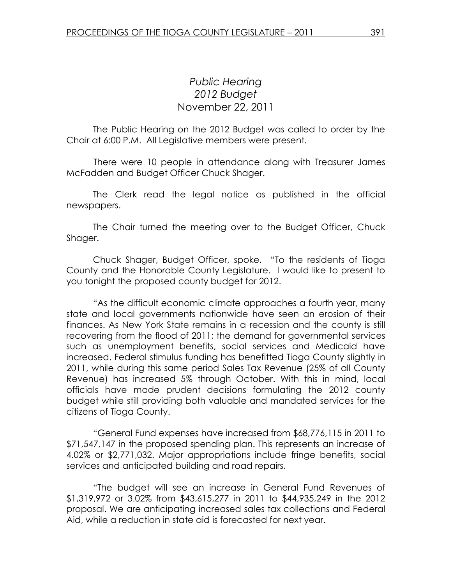## Public Hearing 2012 Budget November 22, 2011

 The Public Hearing on the 2012 Budget was called to order by the Chair at 6:00 P.M. All Legislative members were present.

 There were 10 people in attendance along with Treasurer James McFadden and Budget Officer Chuck Shager.

 The Clerk read the legal notice as published in the official newspapers.

 The Chair turned the meeting over to the Budget Officer, Chuck Shager.

Chuck Shager, Budget Officer, spoke. "To the residents of Tioga County and the Honorable County Legislature. I would like to present to you tonight the proposed county budget for 2012.

"As the difficult economic climate approaches a fourth year, many state and local governments nationwide have seen an erosion of their finances. As New York State remains in a recession and the county is still recovering from the flood of 2011; the demand for governmental services such as unemployment benefits, social services and Medicaid have increased. Federal stimulus funding has benefitted Tioga County slightly in 2011, while during this same period Sales Tax Revenue (25% of all County Revenue) has increased 5% through October. With this in mind, local officials have made prudent decisions formulating the 2012 county budget while still providing both valuable and mandated services for the citizens of Tioga County.

"General Fund expenses have increased from \$68,776,115 in 2011 to \$71,547,147 in the proposed spending plan. This represents an increase of 4.02% or \$2,771,032. Major appropriations include fringe benefits, social services and anticipated building and road repairs.

"The budget will see an increase in General Fund Revenues of \$1,319,972 or 3.02% from \$43,615,277 in 2011 to \$44,935,249 in the 2012 proposal. We are anticipating increased sales tax collections and Federal Aid, while a reduction in state aid is forecasted for next year.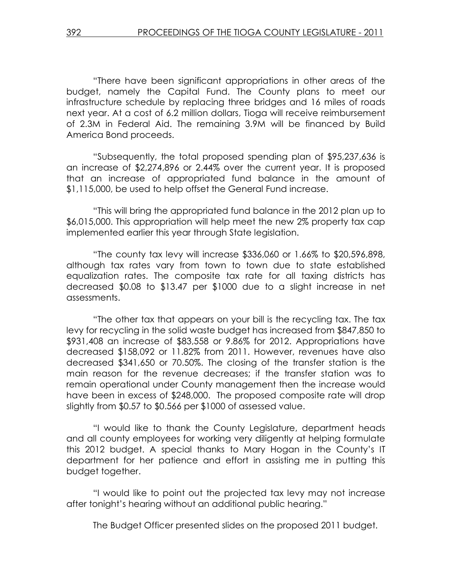"There have been significant appropriations in other areas of the budget, namely the Capital Fund. The County plans to meet our infrastructure schedule by replacing three bridges and 16 miles of roads next year. At a cost of 6.2 million dollars, Tioga will receive reimbursement of 2.3M in Federal Aid. The remaining 3.9M will be financed by Build America Bond proceeds.

"Subsequently, the total proposed spending plan of \$95,237,636 is an increase of \$2,274,896 or 2.44% over the current year. It is proposed that an increase of appropriated fund balance in the amount of \$1,115,000, be used to help offset the General Fund increase.

"This will bring the appropriated fund balance in the 2012 plan up to \$6,015,000. This appropriation will help meet the new 2% property tax cap implemented earlier this year through State legislation.

"The county tax levy will increase \$336,060 or 1.66% to \$20,596,898, although tax rates vary from town to town due to state established equalization rates. The composite tax rate for all taxing districts has decreased \$0.08 to \$13.47 per \$1000 due to a slight increase in net assessments.

"The other tax that appears on your bill is the recycling tax. The tax levy for recycling in the solid waste budget has increased from \$847,850 to \$931,408 an increase of \$83,558 or 9.86% for 2012. Appropriations have decreased \$158,092 or 11.82% from 2011. However, revenues have also decreased \$341,650 or 70.50%. The closing of the transfer station is the main reason for the revenue decreases; if the transfer station was to remain operational under County management then the increase would have been in excess of \$248,000. The proposed composite rate will drop slightly from \$0.57 to \$0.566 per \$1000 of assessed value.

"I would like to thank the County Legislature, department heads and all county employees for working very diligently at helping formulate this 2012 budget. A special thanks to Mary Hogan in the County's IT department for her patience and effort in assisting me in putting this budget together.

"I would like to point out the projected tax levy may not increase after tonight's hearing without an additional public hearing."

The Budget Officer presented slides on the proposed 2011 budget.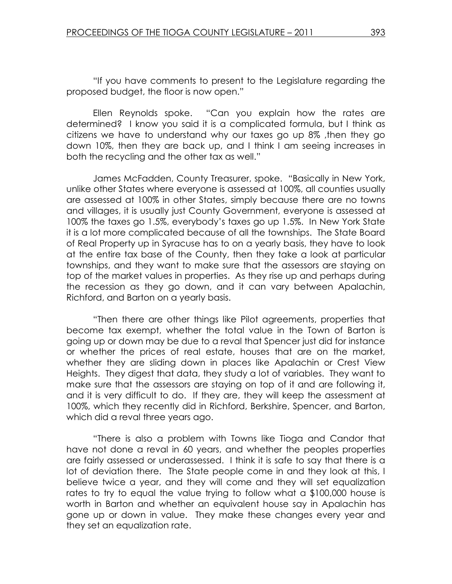"If you have comments to present to the Legislature regarding the proposed budget, the floor is now open."

 Ellen Reynolds spoke. "Can you explain how the rates are determined? I know you said it is a complicated formula, but I think as citizens we have to understand why our taxes go up 8% ,then they go down 10%, then they are back up, and I think I am seeing increases in both the recycling and the other tax as well."

 James McFadden, County Treasurer, spoke. "Basically in New York, unlike other States where everyone is assessed at 100%, all counties usually are assessed at 100% in other States, simply because there are no towns and villages, it is usually just County Government, everyone is assessed at 100% the taxes go 1.5%, everybody's taxes go up 1.5%. In New York State it is a lot more complicated because of all the townships. The State Board of Real Property up in Syracuse has to on a yearly basis, they have to look at the entire tax base of the County, then they take a look at particular townships, and they want to make sure that the assessors are staying on top of the market values in properties. As they rise up and perhaps during the recession as they go down, and it can vary between Apalachin, Richford, and Barton on a yearly basis.

 "Then there are other things like Pilot agreements, properties that become tax exempt, whether the total value in the Town of Barton is going up or down may be due to a reval that Spencer just did for instance or whether the prices of real estate, houses that are on the market, whether they are sliding down in places like Apalachin or Crest View Heights. They digest that data, they study a lot of variables. They want to make sure that the assessors are staying on top of it and are following it, and it is very difficult to do. If they are, they will keep the assessment at 100%, which they recently did in Richford, Berkshire, Spencer, and Barton, which did a reval three years ago.

 "There is also a problem with Towns like Tioga and Candor that have not done a reval in 60 years, and whether the peoples properties are fairly assessed or underassessed. I think it is safe to say that there is a lot of deviation there. The State people come in and they look at this, I believe twice a year, and they will come and they will set equalization rates to try to equal the value trying to follow what a \$100,000 house is worth in Barton and whether an equivalent house say in Apalachin has gone up or down in value. They make these changes every year and they set an equalization rate.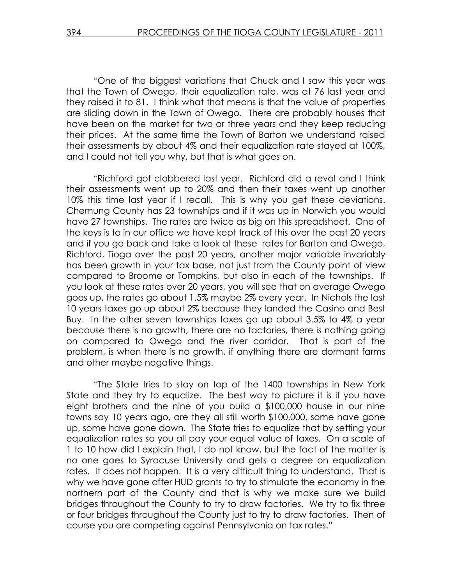"One of the biggest variations that Chuck and I saw this year was that the Town of Owego, their equalization rate, was at 76 last year and they raised it to 81. I think what that means is that the value of properties are sliding down in the Town of Owego. There are probably houses that have been on the market for two or three years and they keep reducing their prices. At the same time the Town of Barton we understand raised their assessments by about 4% and their equalization rate stayed at 100%, and I could not tell you why, but that is what goes on.

 "Richford got clobbered last year. Richford did a reval and I think their assessments went up to 20% and then their taxes went up another 10% this time last year if I recall. This is why you get these deviations. Chemung County has 23 townships and if it was up in Norwich you would have 27 townships. The rates are twice as big on this spreadsheet. One of the keys is to in our office we have kept track of this over the past 20 years and if you go back and take a look at these rates for Barton and Owego, Richford, Tioga over the past 20 years, another major variable invariably has been growth in your tax base, not just from the County point of view compared to Broome or Tompkins, but also in each of the townships. If you look at these rates over 20 years, you will see that on average Owego goes up, the rates go about 1.5% maybe 2% every year. In Nichols the last 10 years taxes go up about 2% because they landed the Casino and Best Buy. In the other seven townships taxes go up about 3.5% to 4% a year because there is no growth, there are no factories, there is nothing going on compared to Owego and the river corridor. That is part of the problem, is when there is no growth, if anything there are dormant farms and other maybe negative things.

"The State tries to stay on top of the 1400 townships in New York State and they try to equalize. The best way to picture it is if you have eight brothers and the nine of you build a \$100,000 house in our nine towns say 10 years ago, are they all still worth \$100,000, some have gone up, some have gone down. The State tries to equalize that by setting your equalization rates so you all pay your equal value of taxes. On a scale of 1 to 10 how did I explain that, I do not know, but the fact of the matter is no one goes to Syracuse University and gets a degree on equalization rates. It does not happen. It is a very difficult thing to understand. That is why we have gone after HUD grants to try to stimulate the economy in the northern part of the County and that is why we make sure we build bridges throughout the County to try to draw factories. We try to fix three or four bridges throughout the County just to try to draw factories. Then of course you are competing against Pennsylvania on tax rates."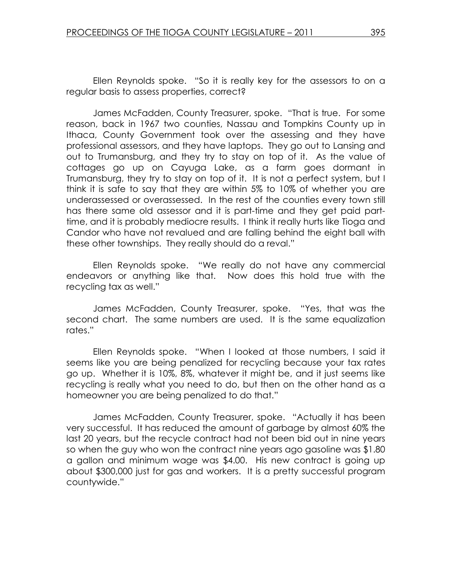Ellen Reynolds spoke. "So it is really key for the assessors to on a regular basis to assess properties, correct?

 James McFadden, County Treasurer, spoke. "That is true. For some reason, back in 1967 two counties, Nassau and Tompkins County up in Ithaca, County Government took over the assessing and they have professional assessors, and they have laptops. They go out to Lansing and out to Trumansburg, and they try to stay on top of it. As the value of cottages go up on Cayuga Lake, as a farm goes dormant in Trumansburg, they try to stay on top of it. It is not a perfect system, but I think it is safe to say that they are within 5% to 10% of whether you are underassessed or overassessed. In the rest of the counties every town still has there same old assessor and it is part-time and they get paid parttime, and it is probably mediocre results. I think it really hurts like Tioga and Candor who have not revalued and are falling behind the eight ball with these other townships. They really should do a reval."

 Ellen Reynolds spoke. "We really do not have any commercial endeavors or anything like that. Now does this hold true with the recycling tax as well."

 James McFadden, County Treasurer, spoke. "Yes, that was the second chart. The same numbers are used. It is the same equalization rates."

 Ellen Reynolds spoke. "When I looked at those numbers, I said it seems like you are being penalized for recycling because your tax rates go up. Whether it is 10%, 8%, whatever it might be, and it just seems like recycling is really what you need to do, but then on the other hand as a homeowner you are being penalized to do that."

 James McFadden, County Treasurer, spoke. "Actually it has been very successful. It has reduced the amount of garbage by almost 60% the last 20 years, but the recycle contract had not been bid out in nine years so when the guy who won the contract nine years ago gasoline was \$1.80 a gallon and minimum wage was \$4.00. His new contract is going up about \$300,000 just for gas and workers. It is a pretty successful program countywide."